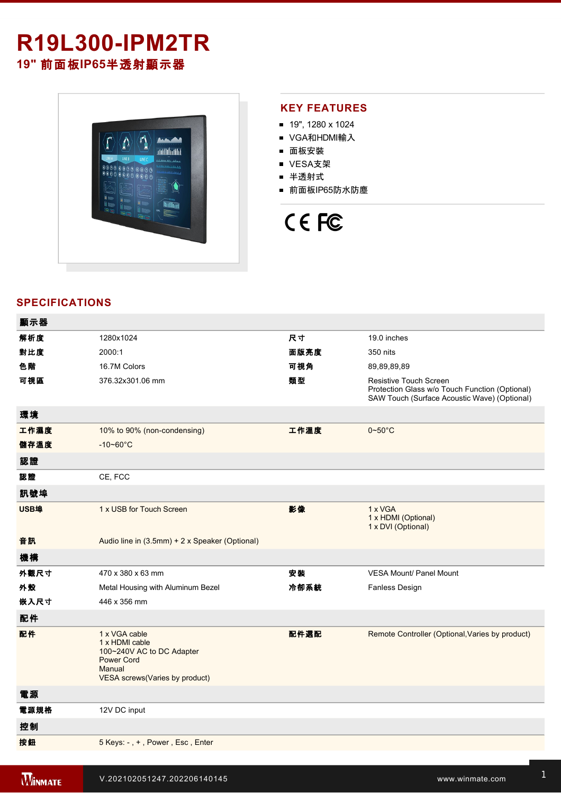# **R19L300-IPM2TR 19"** 前面板**IP65**半透射顯示器



#### **KEY FEATURES**

- 19", 1280 x 1024
- VGA和HDMI輸入
- 面板安裝
- VESA支架
- 半透射式
- 前面板IP65防水防塵

# CE FC

### **SPECIFICATIONS**

| 顯示器  |                                                                                                                               |      |                                                                                                                          |
|------|-------------------------------------------------------------------------------------------------------------------------------|------|--------------------------------------------------------------------------------------------------------------------------|
| 解析度  | 1280x1024                                                                                                                     | 尺寸   | 19.0 inches                                                                                                              |
| 對比度  | 2000:1                                                                                                                        | 面版亮度 | 350 nits                                                                                                                 |
| 色階   | 16.7M Colors                                                                                                                  | 可視角  | 89,89,89,89                                                                                                              |
| 可視區  | 376.32x301.06 mm                                                                                                              | 類型   | Resistive Touch Screen<br>Protection Glass w/o Touch Function (Optional)<br>SAW Touch (Surface Acoustic Wave) (Optional) |
| 環境   |                                                                                                                               |      |                                                                                                                          |
| 工作濕度 | 10% to 90% (non-condensing)                                                                                                   | 工作溫度 | $0 - 50$ °C                                                                                                              |
| 儲存溫度 | $-10 - 60^{\circ}$ C                                                                                                          |      |                                                                                                                          |
| 認證   |                                                                                                                               |      |                                                                                                                          |
| 認證   | CE, FCC                                                                                                                       |      |                                                                                                                          |
| 訊號埠  |                                                                                                                               |      |                                                                                                                          |
| USB埠 | 1 x USB for Touch Screen                                                                                                      | 影像   | 1 x VGA<br>1 x HDMI (Optional)<br>1 x DVI (Optional)                                                                     |
| 音訊   | Audio line in (3.5mm) + 2 x Speaker (Optional)                                                                                |      |                                                                                                                          |
| 機構   |                                                                                                                               |      |                                                                                                                          |
| 外觀尺寸 | 470 x 380 x 63 mm                                                                                                             | 安裝   | <b>VESA Mount/ Panel Mount</b>                                                                                           |
| 外殼   | Metal Housing with Aluminum Bezel                                                                                             | 冷卻系統 | Fanless Design                                                                                                           |
| 嵌入尺寸 | 446 x 356 mm                                                                                                                  |      |                                                                                                                          |
| 配件   |                                                                                                                               |      |                                                                                                                          |
| 配件   | 1 x VGA cable<br>1 x HDMI cable<br>100~240V AC to DC Adapter<br><b>Power Cord</b><br>Manual<br>VESA screws(Varies by product) | 配件選配 | Remote Controller (Optional, Varies by product)                                                                          |
| 電源   |                                                                                                                               |      |                                                                                                                          |
| 電源規格 | 12V DC input                                                                                                                  |      |                                                                                                                          |
| 控制   |                                                                                                                               |      |                                                                                                                          |
| 按鈕   | 5 Keys: -, +, Power, Esc, Enter                                                                                               |      |                                                                                                                          |
|      |                                                                                                                               |      |                                                                                                                          |

<u>Windows and the R19L30 Upper state and the R19</u>